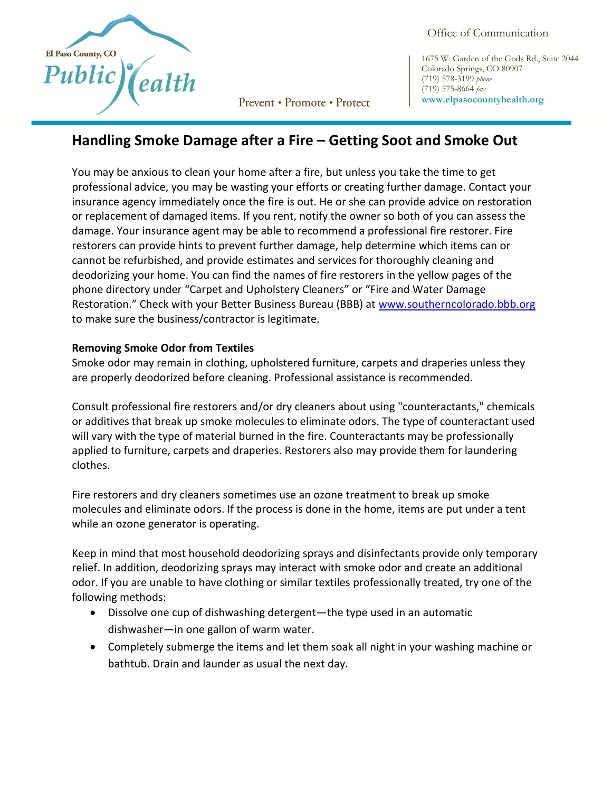

Prevent • Promote • Protect

Office of Communication

1675 W. Garden of the Gods Rd., Suite 2044 Colorado Springs, CO 80907 (719) 578-3199 *phone* (719) 575-8664 *fax* **www.elpasocountyhealth.org**

# **Handling Smoke Damage after a Fire – Getting Soot and Smoke Out**

You may be anxious to clean your home after a fire, but unless you take the time to get professional advice, you may be wasting your efforts or creating further damage. Contact your insurance agency immediately once the fire is out. He or she can provide advice on restoration or replacement of damaged items. If you rent, notify the owner so both of you can assess the damage. Your insurance agent may be able to recommend a professional fire restorer. Fire restorers can provide hints to prevent further damage, help determine which items can or cannot be refurbished, and provide estimates and services for thoroughly cleaning and deodorizing your home. You can find the names of fire restorers in the yellow pages of the phone directory under "Carpet and Upholstery Cleaners" or "Fire and Water Damage Restoration." Check with your Better Business Bureau (BBB) at [www.southerncolorado.bbb.org](http://www.southerncolorado.bbb.org/) to make sure the business/contractor is legitimate.

## **Removing Smoke Odor from Textiles**

Smoke odor may remain in clothing, upholstered furniture, carpets and draperies unless they are properly deodorized before cleaning. Professional assistance is recommended.

Consult professional fire restorers and/or dry cleaners about using "counteractants," chemicals or additives that break up smoke molecules to eliminate odors. The type of counteractant used will vary with the type of material burned in the fire. Counteractants may be professionally applied to furniture, carpets and draperies. Restorers also may provide them for laundering clothes.

Fire restorers and dry cleaners sometimes use an ozone treatment to break up smoke molecules and eliminate odors. If the process is done in the home, items are put under a tent while an ozone generator is operating.

Keep in mind that most household deodorizing sprays and disinfectants provide only temporary relief. In addition, deodorizing sprays may interact with smoke odor and create an additional odor. If you are unable to have clothing or similar textiles professionally treated, try one of the following methods:

- Dissolve one cup of dishwashing detergent—the type used in an automatic dishwasher—in one gallon of warm water.
- Completely submerge the items and let them soak all night in your washing machine or bathtub. Drain and launder as usual the next day.